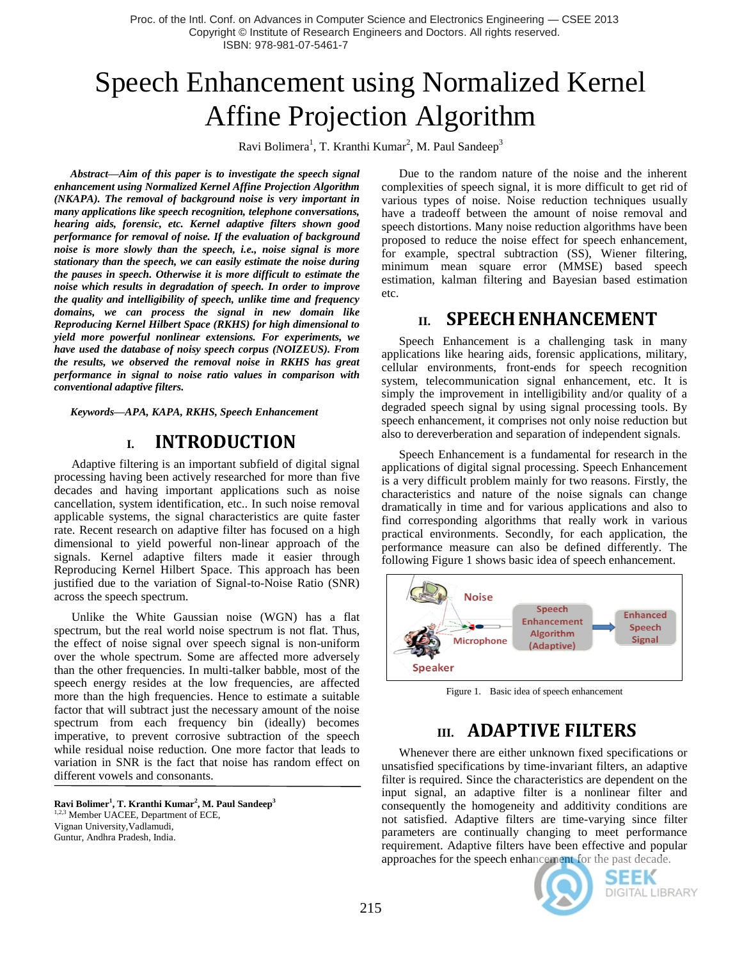# Speech Enhancement using Normalized Kernel Affine Projection Algorithm

Ravi Bolimera<sup>1</sup>, T. Kranthi Kumar<sup>2</sup>, M. Paul Sandeep<sup>3</sup>

*Abstract—Aim of this paper is to investigate the speech signal enhancement using Normalized Kernel Affine Projection Algorithm (NKAPA). The removal of background noise is very important in many applications like speech recognition, telephone conversations, hearing aids, forensic, etc. Kernel adaptive filters shown good performance for removal of noise. If the evaluation of background noise is more slowly than the speech, i.e., noise signal is more stationary than the speech, we can easily estimate the noise during the pauses in speech. Otherwise it is more difficult to estimate the noise which results in degradation of speech. In order to improve the quality and intelligibility of speech, unlike time and frequency domains, we can process the signal in new domain like Reproducing Kernel Hilbert Space (RKHS) for high dimensional to yield more powerful nonlinear extensions. For experiments, we have used the database of noisy speech corpus (NOIZEUS). From the results, we observed the removal noise in RKHS has great performance in signal to noise ratio values in comparison with conventional adaptive filters.*

*Keywords—APA, KAPA, RKHS, Speech Enhancement*

# **I. INTRODUCTION**

Adaptive filtering is an important subfield of digital signal processing having been actively researched for more than five decades and having important applications such as noise cancellation, system identification, etc.. In such noise removal applicable systems, the signal characteristics are quite faster rate. Recent research on adaptive filter has focused on a high dimensional to yield powerful non-linear approach of the signals. Kernel adaptive filters made it easier through Reproducing Kernel Hilbert Space. This approach has been justified due to the variation of Signal-to-Noise Ratio (SNR) across the speech spectrum.

Unlike the White Gaussian noise (WGN) has a flat spectrum, but the real world noise spectrum is not flat. Thus, the effect of noise signal over speech signal is non-uniform over the whole spectrum. Some are affected more adversely than the other frequencies. In multi-talker babble, most of the speech energy resides at the low frequencies, are affected more than the high frequencies. Hence to estimate a suitable factor that will subtract just the necessary amount of the noise spectrum from each frequency bin (ideally) becomes imperative, to prevent corrosive subtraction of the speech while residual noise reduction. One more factor that leads to variation in SNR is the fact that noise has random effect on different vowels and consonants.

**Ravi Bolimer<sup>1</sup> , T. Kranthi Kumar<sup>2</sup> , M. Paul Sandeep<sup>3</sup>** 1,2,3 Member UACEE, Department of ECE, Vignan University,Vadlamudi, Guntur, Andhra Pradesh, India.

Due to the random nature of the noise and the inherent complexities of speech signal, it is more difficult to get rid of various types of noise. Noise reduction techniques usually have a tradeoff between the amount of noise removal and speech distortions. Many noise reduction algorithms have been proposed to reduce the noise effect for speech enhancement, for example, spectral subtraction (SS), Wiener filtering, minimum mean square error (MMSE) based speech estimation, kalman filtering and Bayesian based estimation etc.

### **II. SPEECHENHANCEMENT**

Speech Enhancement is a challenging task in many applications like hearing aids, forensic applications, military, cellular environments, front-ends for speech recognition system, telecommunication signal enhancement, etc. It is simply the improvement in intelligibility and/or quality of a degraded speech signal by using signal processing tools. By speech enhancement, it comprises not only noise reduction but also to dereverberation and separation of independent signals.

Speech Enhancement is a fundamental for research in the applications of digital signal processing. Speech Enhancement is a very difficult problem mainly for two reasons. Firstly, the characteristics and nature of the noise signals can change dramatically in time and for various applications and also to find corresponding algorithms that really work in various practical environments. Secondly, for each application, the performance measure can also be defined differently. The following Figure 1 shows basic idea of speech enhancement.



Figure 1. Basic idea of speech enhancement

# **III. ADAPTIVE FILTERS**

Whenever there are either unknown fixed specifications or unsatisfied specifications by time-invariant filters, an adaptive filter is required. Since the characteristics are dependent on the input signal, an adaptive filter is a nonlinear filter and consequently the homogeneity and additivity conditions are not satisfied. Adaptive filters are time-varying since filter parameters are continually changing to meet performance requirement. Adaptive filters have been effective and popular approaches for the speech enhancement for the past decade.



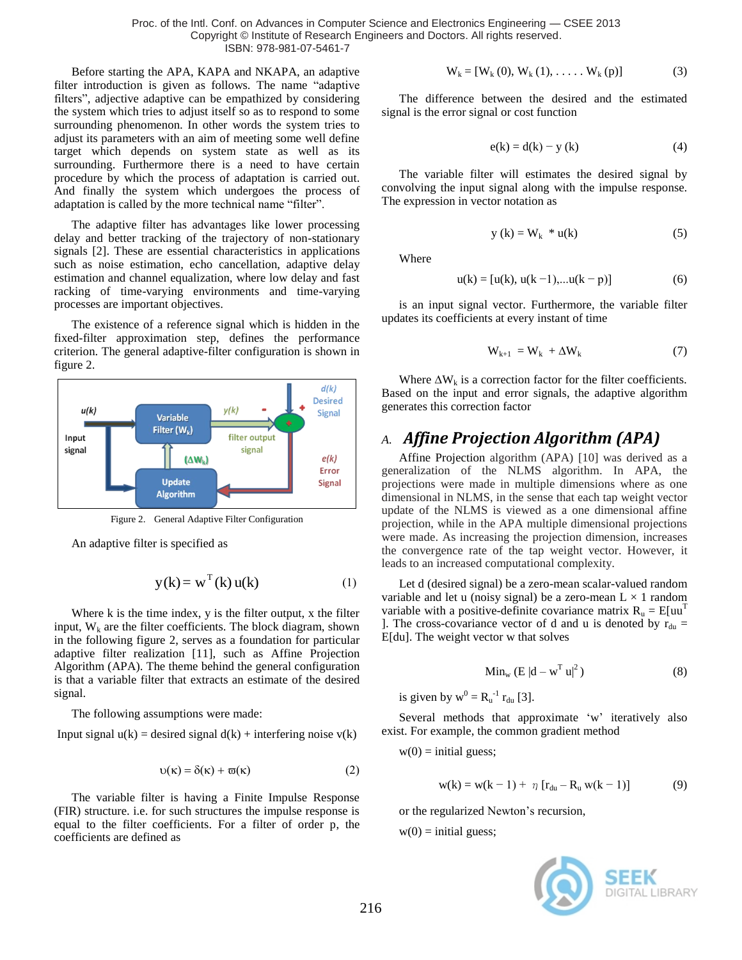Before starting the APA, KAPA and NKAPA, an adaptive filter introduction is given as follows. The name "adaptive filters", adjective adaptive can be empathized by considering the system which tries to adjust itself so as to respond to some surrounding phenomenon. In other words the system tries to adjust its parameters with an aim of meeting some well define target which depends on system state as well as its surrounding. Furthermore there is a need to have certain procedure by which the process of adaptation is carried out. And finally the system which undergoes the process of adaptation is called by the more technical name "filter".

The adaptive filter has advantages like lower processing delay and better tracking of the trajectory of non-stationary signals [2]. These are essential characteristics in applications such as noise estimation, echo cancellation, adaptive delay estimation and channel equalization, where low delay and fast racking of time-varying environments and time-varying processes are important objectives.

The existence of a reference signal which is hidden in the fixed-filter approximation step, defines the performance criterion. The general adaptive-filter configuration is shown in figure 2.



Figure 2. General Adaptive Filter Configuration

An adaptive filter is specified as

$$
y(k) = wT(k) u(k)
$$
 (1)

Where k is the time index, y is the filter output, x the filter input,  $W_k$  are the filter coefficients. The block diagram, shown in the following figure 2, serves as a foundation for particular adaptive filter realization [11], such as Affine Projection Algorithm (APA). The theme behind the general configuration is that a variable filter that extracts an estimate of the desired signal.

The following assumptions were made:

Input signal  $u(k)$  = desired signal  $d(k)$  + interfering noise  $v(k)$ 

$$
v(\kappa) = \delta(\kappa) + \varpi(\kappa) \tag{2}
$$

The variable filter is having a Finite Impulse Response (FIR) structure. i.e. for such structures the impulse response is equal to the filter coefficients. For a filter of order p, the coefficients are defined as

$$
W_k = [W_k(0), W_k(1), \dots, W_k(p)]
$$
 (3)

The difference between the desired and the estimated signal is the error signal or cost function

$$
e(k) = d(k) - y(k)
$$
 (4)

The variable filter will estimates the desired signal by convolving the input signal along with the impulse response. The expression in vector notation as

$$
y(k) = W_k * u(k)
$$
 (5)

Where

$$
u(k) = [u(k), u(k-1), ...u(k-p)]
$$
 (6)

is an input signal vector. Furthermore, the variable filter updates its coefficients at every instant of time

$$
W_{k+1} = W_k + \Delta W_k \tag{7}
$$

Where  $\Delta W_k$  is a correction factor for the filter coefficients. Based on the input and error signals, the adaptive algorithm generates this correction factor

### *A. Affine Projection Algorithm (APA)*

Affine Projection algorithm (APA) [10] was derived as a generalization of the NLMS algorithm. In APA, the projections were made in multiple dimensions where as one dimensional in NLMS, in the sense that each tap weight vector update of the NLMS is viewed as a one dimensional affine projection, while in the APA multiple dimensional projections were made. As increasing the projection dimension, increases the convergence rate of the tap weight vector. However, it leads to an increased computational complexity.

Let d (desired signal) be a zero-mean scalar-valued random variable and let u (noisy signal) be a zero-mean  $L \times 1$  random variable with a positive-definite covariance matrix  $R_u = E[uu^T]$ ]. The cross-covariance vector of d and u is denoted by  $r_{du}$  = E[du]. The weight vector w that solves

$$
\text{Min}_{w} \left( E \left| d - w^{T} u \right|^{2} \right) \tag{8}
$$

is given by  $w^0 = R_u^{-1} r_{du}$  [3].

Several methods that approximate 'w' iteratively also exist. For example, the common gradient method

 $w(0) = \text{initial guess};$ 

$$
w(k) = w(k-1) + \eta [r_{du} - R_u w(k-1)] \tag{9}
$$

or the regularized Newton"s recursion,

 $w(0) = \text{initial guess};$ 

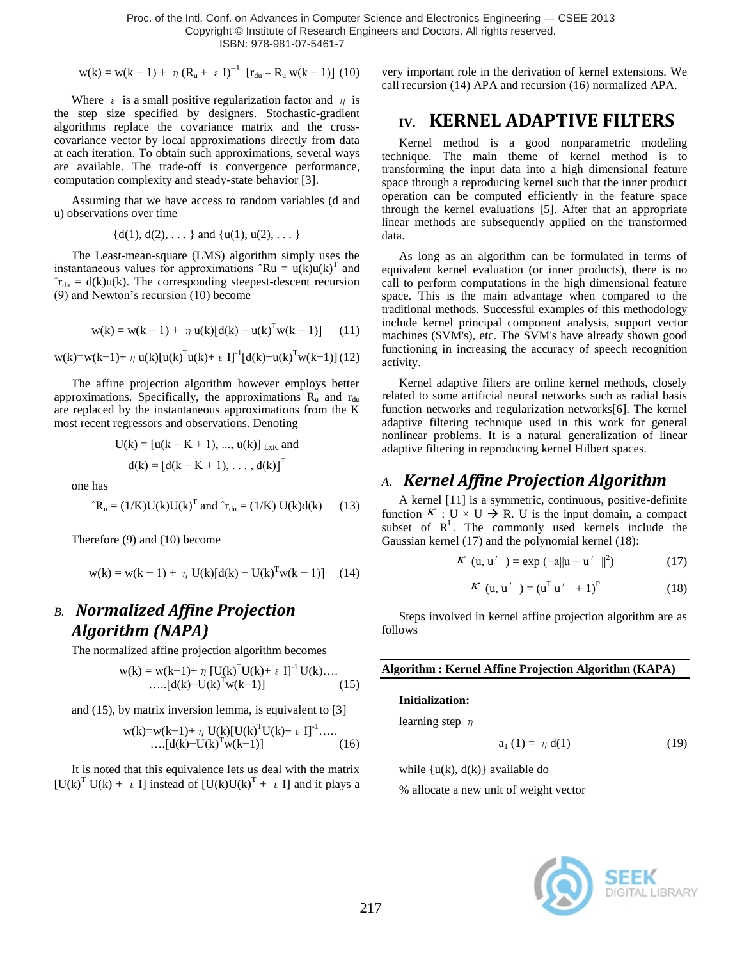$$
w(k) = w(k-1) + \eta (R_u + \epsilon I)^{-1} [r_{du} - R_u w(k-1)] (10)
$$

Where  $\varepsilon$  is a small positive regularization factor and  $\eta$  is the step size specified by designers. Stochastic-gradient algorithms replace the covariance matrix and the crosscovariance vector by local approximations directly from data at each iteration. To obtain such approximations, several ways are available. The trade-off is convergence performance, computation complexity and steady-state behavior [3].

Assuming that we have access to random variables (d and u) observations over time

$$
\{d(1), d(2), \ldots\} \text{ and } \{u(1), u(2), \ldots\}
$$

The Least-mean-square (LMS) algorithm simply uses the instantaneous values for approximations  $\hat{R}u = u(k)u(k)^T$  and  $\hat{\tau}_{du} = d(k)u(k)$ . The corresponding steepest-descent recursion (9) and Newton"s recursion (10) become

$$
w(k) = w(k-1) + \eta u(k)[d(k) - u(k)^{T}w(k-1)] \qquad (11)
$$

 $w(k)=w(k-1)+\eta u(k)[u(k)^{T}u(k)+\epsilon I]^{-1}[d(k)-u(k)^{T}w(k-1)](12)$ 

The affine projection algorithm however employs better approximations. Specifically, the approximations  $R_u$  and  $r_{du}$ are replaced by the instantaneous approximations from the K most recent regressors and observations. Denoting

$$
U(k) = [u(k - K + 1), ..., u(k)]_{L \times K} \text{ and}
$$

$$
d(k) = [d(k - K + 1), ..., d(k)]^{T}
$$

one has

$$
{}^{c}R_{u} = (1/K)U(k)U(k)^{T} \text{ and } {}^{c}r_{du} = (1/K)U(k)d(k) \qquad (13)
$$

Therefore (9) and (10) become

$$
w(k) = w(k-1) + \eta U(k)[d(k) - U(k)^{T}w(k-1)] \quad (14)
$$

### *B. Normalized Affine Projection Algorithm (NAPA)*

The normalized affine projection algorithm becomes

$$
w(k) = w(k-1) + \eta \left[ U(k)^{T} U(k) + \epsilon I \right]^{-1} U(k) \dots
$$
  
....[d(k)-U(k)<sup>T</sup> $w(k-1)$ ] (15)

and (15), by matrix inversion lemma, is equivalent to [3]

$$
w(k)=w(k-1)+\eta U(k)[U(k)^{T}U(k)+\epsilon I]^{-1}.\dots....[d(k)-U(k)^{T}w(k-1)] \qquad (16)
$$

It is noted that this equivalence lets us deal with the matrix  $[U(k)^{T} U(k) + \varepsilon I]$  instead of  $[U(k)U(k)^{T} + \varepsilon I]$  and it plays a very important role in the derivation of kernel extensions. We call recursion (14) APA and recursion (16) normalized APA.

# **IV. KERNEL ADAPTIVE FILTERS**

Kernel method is a good nonparametric modeling technique. The main theme of kernel method is to transforming the input data into a high dimensional feature space through a reproducing kernel such that the inner product operation can be computed efficiently in the feature space through the kernel evaluations [5]. After that an appropriate linear methods are subsequently applied on the transformed data.

As long as an algorithm can be formulated in terms of equivalent kernel evaluation (or inner products), there is no call to perform computations in the high dimensional feature space. This is the main advantage when compared to the traditional methods. Successful examples of this methodology include kernel principal component analysis, support vector machines (SVM's), etc. The SVM's have already shown good functioning in increasing the accuracy of speech recognition activity.

Kernel adaptive filters are online kernel methods, closely related to some artificial neural networks such as radial basis function networks and regularization networks[6]. The kernel adaptive filtering technique used in this work for general nonlinear problems. It is a natural generalization of linear adaptive filtering in reproducing kernel Hilbert spaces.

### *A. Kernel Affine Projection Algorithm*

A kernel [11] is a symmetric, continuous, positive-definite function  $K: U \times U \rightarrow R$ . U is the input domain, a compact subset of  $R^L$ . The commonly used kernels include the Gaussian kernel (17) and the polynomial kernel (18):

**K** (u, u') = exp 
$$
(-a||u - u'||^2)
$$
 (17)

$$
K(u, u') = (uT u' + 1)P
$$
 (18)

Steps involved in kernel affine projection algorithm are as follows

#### **Algorithm : Kernel Affine Projection Algorithm (KAPA)**

#### **Initialization:**

learning step  $\eta$ 

$$
a_1(1) = \eta d(1) \tag{19}
$$

while  $\{u(k), d(k)\}\$  available do

% allocate a new unit of weight vector

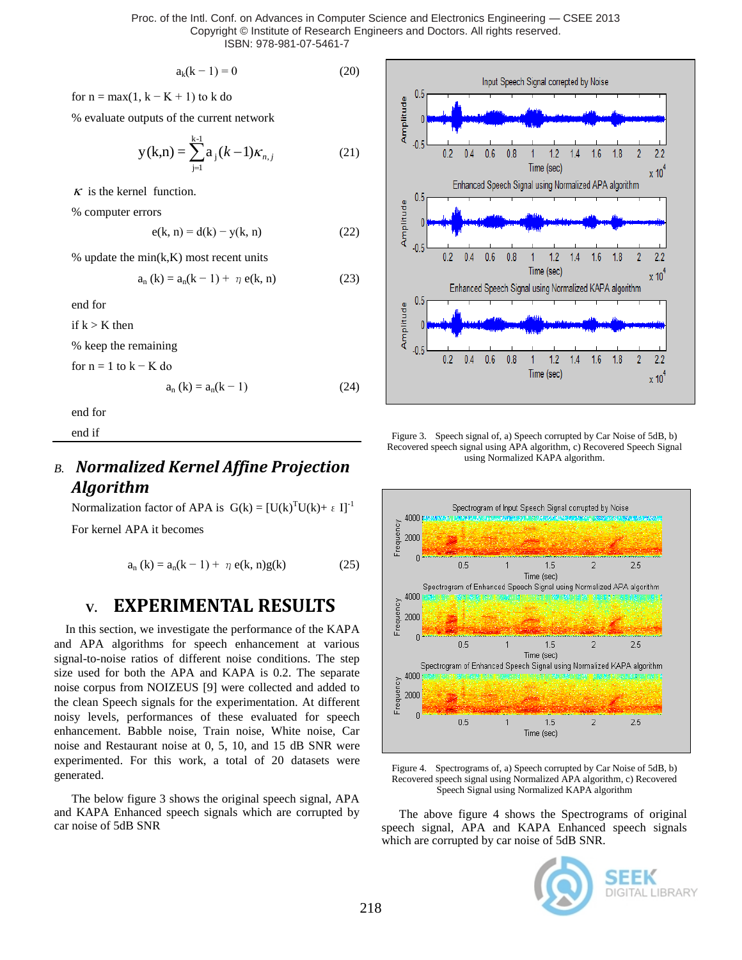$$
a_k(k-1) = 0 \tag{20}
$$

for  $n = max(1, k - K + 1)$  to k do

% evaluate outputs of the current network

$$
y(k,n) = \sum_{j=1}^{k-1} a_j (k-1) \kappa_{n,j}
$$
 (21)

 $\kappa$  is the kernel function.

% computer errors

$$
e(k, n) = d(k) - y(k, n)
$$
 (22)

 $%$  update the min $(k,K)$  most recent units

$$
a_n (k) = a_n (k - 1) + \eta e(k, n) \tag{23}
$$

end for

if  $k > K$  then

% keep the remaining

for  $n = 1$  to  $k - K$  do

$$
a_n (k) = a_n (k - 1)
$$
 (24)

end for

end if

# *B. Normalized Kernel Affine Projection Algorithm*

Normalization factor of APA is  $G(k) = [U(k)^T U(k) + \varepsilon I]^{-1}$ For kernel APA it becomes

$$
a_n (k) = a_n (k-1) + \eta e(k, n) g(k)
$$
 (25)

# **V. EXPERIMENTAL RESULTS**

In this section, we investigate the performance of the KAPA and APA algorithms for speech enhancement at various signal-to-noise ratios of different noise conditions. The step size used for both the APA and KAPA is 0.2. The separate noise corpus from NOIZEUS [9] were collected and added to the clean Speech signals for the experimentation. At different noisy levels, performances of these evaluated for speech enhancement. Babble noise, Train noise, White noise, Car noise and Restaurant noise at 0, 5, 10, and 15 dB SNR were experimented. For this work, a total of 20 datasets were generated.

The below figure 3 shows the original speech signal, APA and KAPA Enhanced speech signals which are corrupted by car noise of 5dB SNR







Figure 4. Spectrograms of, a) Speech corrupted by Car Noise of 5dB, b) Recovered speech signal using Normalized APA algorithm, c) Recovered Speech Signal using Normalized KAPA algorithm

The above figure 4 shows the Spectrograms of original speech signal, APA and KAPA Enhanced speech signals which are corrupted by car noise of 5dB SNR.